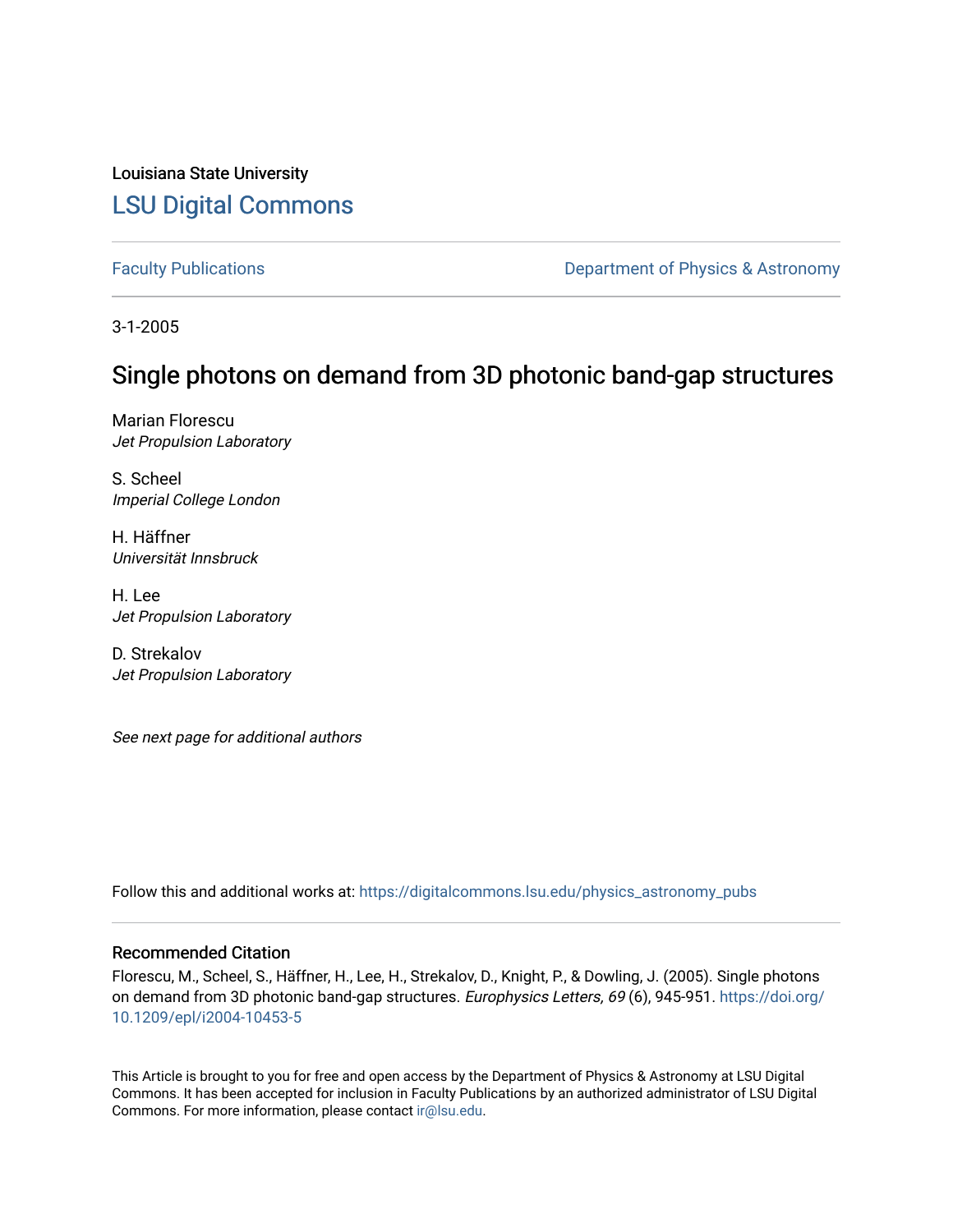Louisiana State University [LSU Digital Commons](https://digitalcommons.lsu.edu/)

[Faculty Publications](https://digitalcommons.lsu.edu/physics_astronomy_pubs) **Exercise 2 and Table 2 and Table 2 and Table 2 and Table 2 and Table 2 and Table 2 and Table 2 and Table 2 and Table 2 and Table 2 and Table 2 and Table 2 and Table 2 and Table 2 and Table 2 and Table** 

3-1-2005

## Single photons on demand from 3D photonic band-gap structures

Marian Florescu Jet Propulsion Laboratory

S. Scheel Imperial College London

H. Häffner Universität Innsbruck

H. Lee Jet Propulsion Laboratory

D. Strekalov Jet Propulsion Laboratory

See next page for additional authors

Follow this and additional works at: [https://digitalcommons.lsu.edu/physics\\_astronomy\\_pubs](https://digitalcommons.lsu.edu/physics_astronomy_pubs?utm_source=digitalcommons.lsu.edu%2Fphysics_astronomy_pubs%2F3164&utm_medium=PDF&utm_campaign=PDFCoverPages) 

## Recommended Citation

Florescu, M., Scheel, S., Häffner, H., Lee, H., Strekalov, D., Knight, P., & Dowling, J. (2005). Single photons on demand from 3D photonic band-gap structures. Europhysics Letters, 69 (6), 945-951. [https://doi.org/](https://doi.org/10.1209/epl/i2004-10453-5) [10.1209/epl/i2004-10453-5](https://doi.org/10.1209/epl/i2004-10453-5) 

This Article is brought to you for free and open access by the Department of Physics & Astronomy at LSU Digital Commons. It has been accepted for inclusion in Faculty Publications by an authorized administrator of LSU Digital Commons. For more information, please contact [ir@lsu.edu](mailto:ir@lsu.edu).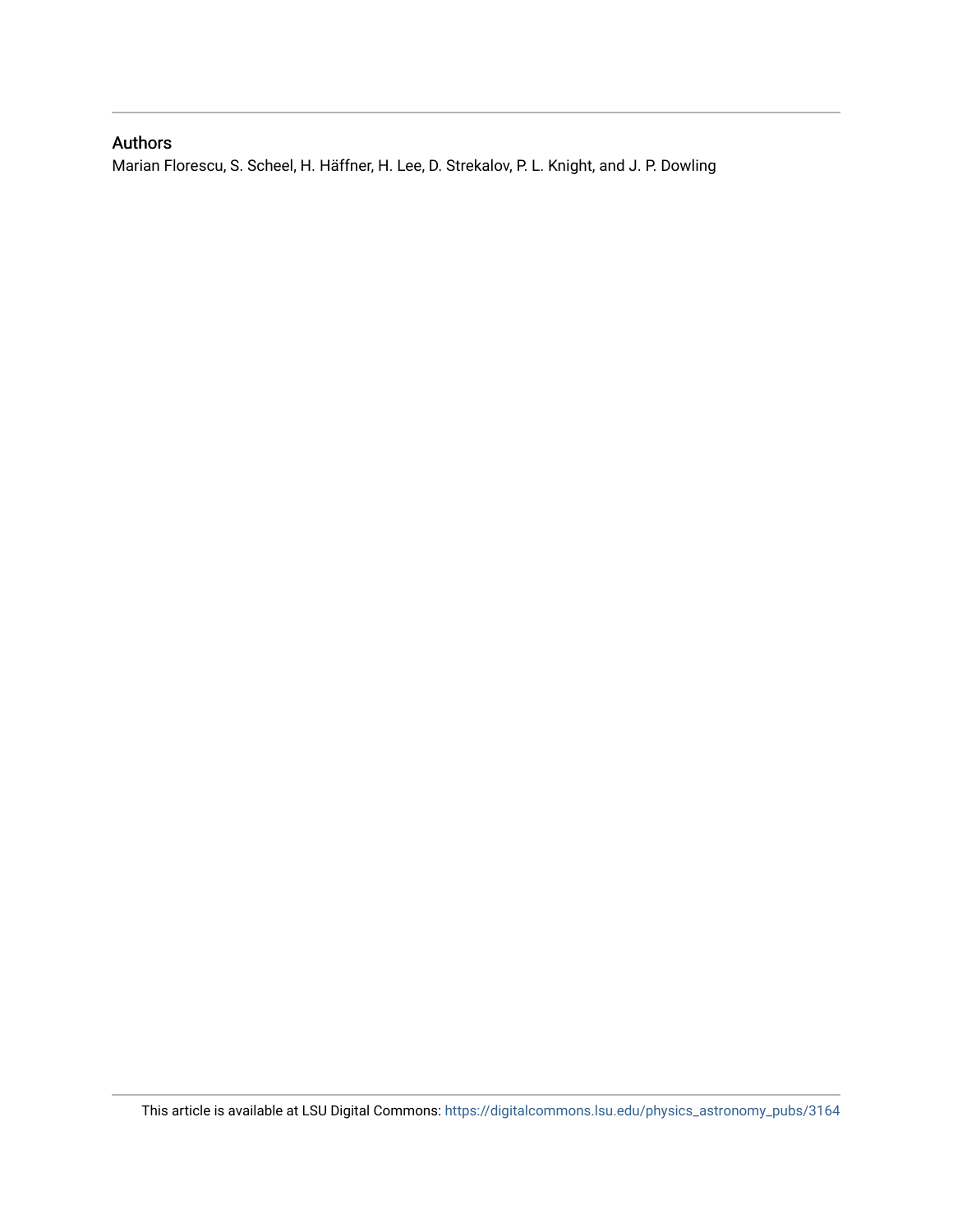## Authors

Marian Florescu, S. Scheel, H. Häffner, H. Lee, D. Strekalov, P. L. Knight, and J. P. Dowling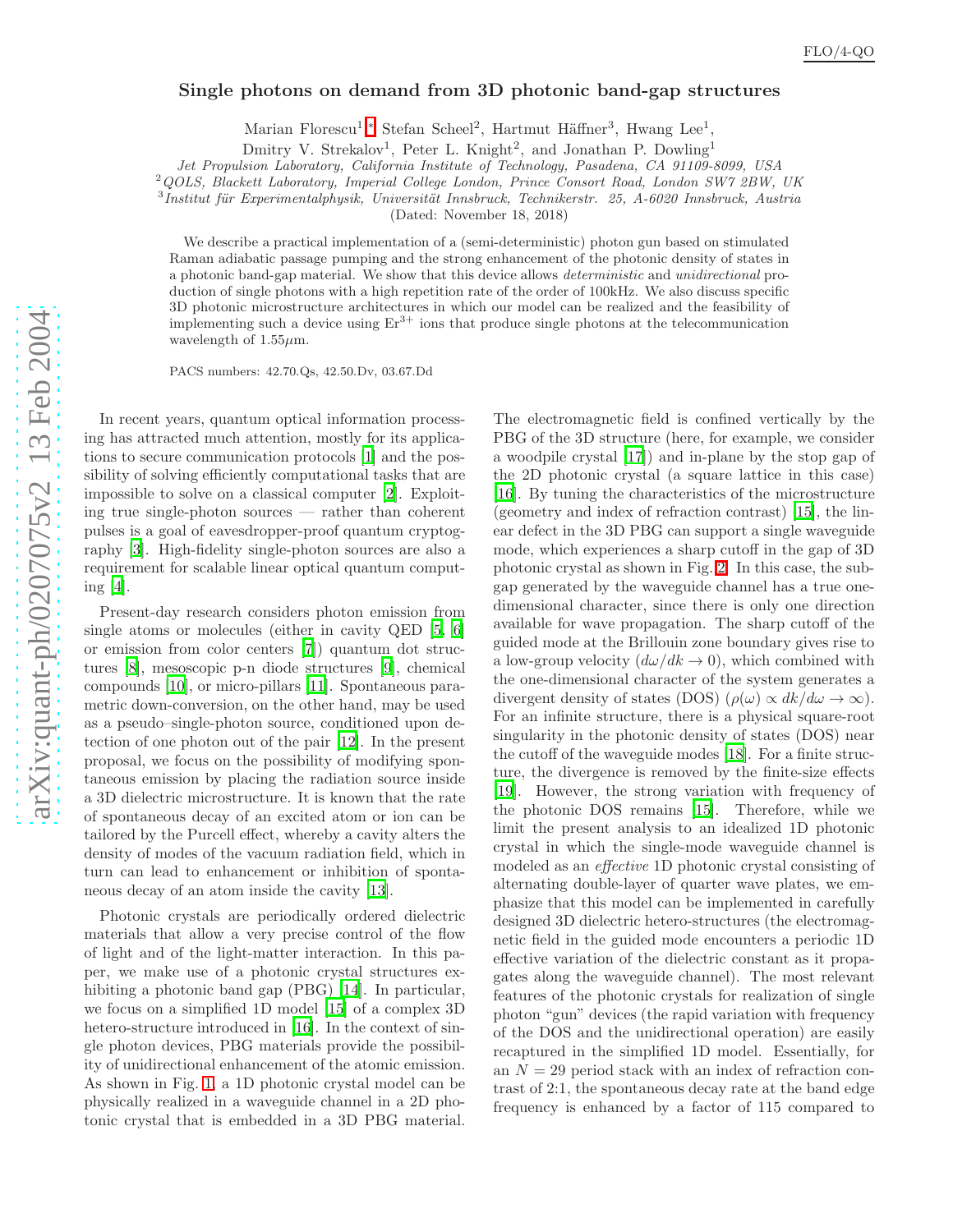## Single photons on demand from 3D photonic band-gap structures

Marian Florescu<sup>1</sup>,\* Stefan Scheel<sup>2</sup>, Hartmut Häffner<sup>3</sup>, Hwang Lee<sup>1</sup>,

Dmitry V. Strekalov<sup>1</sup>, Peter L. Knight<sup>2</sup>, and Jonathan P. Dowling<sup>1</sup>

*Jet Propulsion Laboratory, California Institute of Technology, Pasadena, CA 91109-8099, USA*

<sup>2</sup> QOLS, Blackett Laboratory, Imperial College London, Prince Consort Road, London SW7 2BW, UK

<sup>3</sup>Institut für Experimentalphysik, Universität Innsbruck, Technikerstr. 25, A-6020 Innsbruck, Austria

(Dated: November 18, 2018)

We describe a practical implementation of a (semi-deterministic) photon gun based on stimulated Raman adiabatic passage pumping and the strong enhancement of the photonic density of states in a photonic band-gap material. We show that this device allow s *deterministic* and *unidirectional* production of single photons with a high repetition rate of the order of 100kHz. We also discuss specific 3D photonic microstructure architectures in which our model can be realized and the feasibility of implementing such a device using  $Er^{3+}$  ions that produce single photons at the telecommunication wavelength of  $1.55 \mu$ m.

PACS numbers: 42.70.Qs, 42.50.Dv, 03.67.Dd

In recent years, quantum optical information processing has attracted much attention, mostly for its applications to secure communication protocols [\[1](#page-5-1)] and the possibility of solving efficiently computational tasks that are impossible to solve on a classical computer [\[2](#page-5-2)]. Exploiting true single-photon sources — rather than coherent pulses is a goal of eavesdropper-proof quantum cryptography [\[3](#page-5-3)]. High-fidelity single-photon sources are also a requirement for scalable linear optical quantum computing [\[4](#page-5-4)].

Present-day research considers photon emission from single atoms or molecules (either in cavity QED [\[5,](#page-5-5) [6](#page-5-6)] or emission from color centers [\[7\]](#page-5-7)) quantum dot structures [\[8\]](#page-5-8), mesoscopic p-n diode structures [\[9\]](#page-5-9), chemical compounds [\[10\]](#page-5-10), or micro-pillars [\[11\]](#page-5-11). Spontaneous parametric down-conversion, on the other hand, may be used as a pseudo–single-photon source, conditioned upon detection of one photon out of the pair [\[12\]](#page-5-12). In the present proposal, we focus on the possibility of modifying spontaneous emission by placing the radiation source inside a 3D dielectric microstructure. It is known that the rate of spontaneous decay of an excited atom or ion can be tailored by the Purcell effect, whereby a cavity alters the density of modes of the vacuum radiation field, which in turn can lead to enhancement or inhibition of spontaneous decay of an atom inside the cavity [\[13\]](#page-5-13).

Photonic crystals are periodically ordered dielectric materials that allow a very precise control of the flow of light and of the light-matter interaction. In this paper, we make use of a photonic crystal structures ex-hibiting a photonic band gap (PBG) [\[14\]](#page-5-14). In particular, we focus on a simplified 1D model [\[15\]](#page-5-15) of a complex 3D hetero-structure introduced in [\[16\]](#page-5-16). In the context of single photon devices, PBG materials provide the possibility of unidirectional enhancement of the atomic emission. As shown in Fig. [1,](#page-3-0) a 1D photonic crystal model can be physically realized in a waveguide channel in a 2D photonic crystal that is embedded in a 3D PBG material.

The electromagnetic field is confined vertically by the PBG of the 3D structure (here, for example, we consider a woodpile crystal [\[17](#page-5-17)]) and in-plane by the stop gap of the 2D photonic crystal (a square lattice in this case) [\[16\]](#page-5-16). By tuning the characteristics of the microstructure (geometry and index of refraction contrast) [\[15\]](#page-5-15), the linear defect in the 3D PBG can support a single waveguide mode, which experiences a sharp cutoff in the gap of 3D photonic crystal as shown in Fig. [2.](#page-3-1) In this case, the subgap generated by the waveguide channel has a true onedimensional character, since there is only one direction available for wave propagation. The sharp cutoff of the guided mode at the Brillouin zone boundary gives rise to a low-group velocity  $(d\omega/dk \rightarrow 0)$ , which combined with the one-dimensional character of the system generates a divergent density of states (DOS)  $(\rho(\omega) \propto dk/d\omega \to \infty)$ . For an infinite structure, there is a physical square-root singularity in the photonic density of states (DOS) near the cutoff of the waveguide modes [\[18\]](#page-5-18). For a finite structure, the divergence is removed by the finite-size effects [\[19\]](#page-5-19). However, the strong variation with frequency of the photonic DOS remains [\[15\]](#page-5-15). Therefore, while we limit the present analysis to an idealized 1D photonic crystal in which the single-mode waveguide channel is modeled as an effective 1D photonic crystal consisting of alternating double-layer of quarter wave plates, we emphasize that this model can be implemented in carefully designed 3D dielectric hetero-structures (the electromagnetic field in the guided mode encounters a periodic 1D effective variation of the dielectric constant as it propagates along the waveguide channel). The most relevant features of the photonic crystals for realization of single photon "gun" devices (the rapid variation with frequency of the DOS and the unidirectional operation) are easily recaptured in the simplified 1D model. Essentially, for an  $N = 29$  period stack with an index of refraction contrast of 2:1, the spontaneous decay rate at the band edge frequency is enhanced by a factor of 115 compared to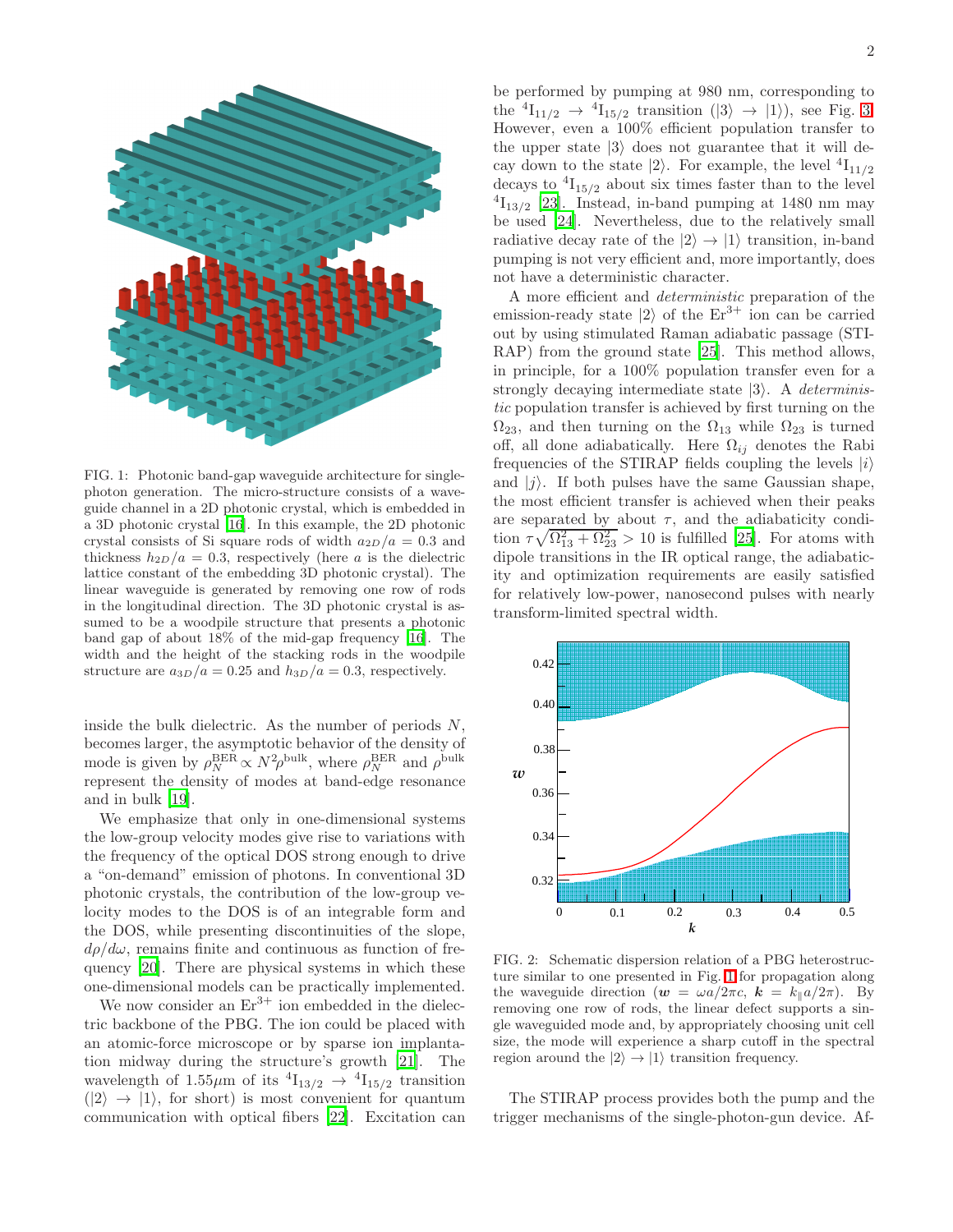

<span id="page-3-0"></span>FIG. 1: Photonic band-gap waveguide architecture for singlephoton generation. The micro-structure consists of a waveguide channel in a 2D photonic crystal, which is embedded in a 3D photonic crystal [\[16](#page-5-16)]. In this example, the 2D photonic crystal consists of Si square rods of width  $a_{2D}/a = 0.3$  and thickness  $h_{2D}/a = 0.3$ , respectively (here a is the dielectric lattice constant of the embedding 3D photonic crystal). The linear waveguide is generated by removing one row of rods in the longitudinal direction. The 3D photonic crystal is assumed to be a woodpile structure that presents a photonic band gap of about 18% of the mid-gap frequency [\[16](#page-5-16)]. The width and the height of the stacking rods in the woodpile structure are  $a_{3D}/a = 0.25$  and  $h_{3D}/a = 0.3$ , respectively.

inside the bulk dielectric. As the number of periods  $N$ , becomes larger, the asymptotic behavior of the density of mode is given by  $\rho_N^{\text{BER}} \propto N^2 \rho^{\text{bulk}}$ , where  $\rho_N^{\text{BER}}$  and  $\rho^{\text{bulk}}$ represent the density of modes at band-edge resonance and in bulk [\[19](#page-5-19)].

We emphasize that only in one-dimensional systems the low-group velocity modes give rise to variations with the frequency of the optical DOS strong enough to drive a "on-demand" emission of photons. In conventional 3D photonic crystals, the contribution of the low-group velocity modes to the DOS is of an integrable form and the DOS, while presenting discontinuities of the slope,  $d\rho/d\omega$ , remains finite and continuous as function of frequency [\[20](#page-5-20)]. There are physical systems in which these one-dimensional models can be practically implemented.

We now consider an  $Er^{3+}$  ion embedded in the dielectric backbone of the PBG. The ion could be placed with an atomic-force microscope or by sparse ion implantation midway during the structure's growth [\[21\]](#page-5-21). The wavelength of 1.55 $\mu$ m of its  ${}^{4}I_{13/2} \rightarrow {}^{4}I_{15/2}$  transition  $(|2\rangle \rightarrow |1\rangle$ , for short) is most convenient for quantum communication with optical fibers [\[22\]](#page-5-22). Excitation can

be performed by pumping at 980 nm, corresponding to the  ${}^{4}I_{11/2} \rightarrow {}^{4}I_{15/2}$  transition  $(|3\rangle \rightarrow |1\rangle)$ , see Fig. [3.](#page-4-0) However, even a 100% efficient population transfer to the upper state  $|3\rangle$  does not guarantee that it will decay down to the state  $|2\rangle$ . For example, the level  ${}^{4}I_{11/2}$ decays to  ${}^{4}I_{15/2}$  about six times faster than to the level  $^{4}I_{13/2}$  [\[23](#page-5-23)]. Instead, in-band pumping at 1480 nm may be used [\[24](#page-5-24)]. Nevertheless, due to the relatively small radiative decay rate of the  $|2\rangle \rightarrow |1\rangle$  transition, in-band pumping is not very efficient and, more importantly, does not have a deterministic character.

A more efficient and deterministic preparation of the emission-ready state  $|2\rangle$  of the  $Er^{3+}$  ion can be carried out by using stimulated Raman adiabatic passage (STI-RAP) from the ground state [\[25\]](#page-5-25). This method allows, in principle, for a 100% population transfer even for a strongly decaying intermediate state  $|3\rangle$ . A *determinis*tic population transfer is achieved by first turning on the  $\Omega_{23}$ , and then turning on the  $\Omega_{13}$  while  $\Omega_{23}$  is turned off, all done adiabatically. Here  $\Omega_{ij}$  denotes the Rabi frequencies of the STIRAP fields coupling the levels  $|i\rangle$ and  $|i\rangle$ . If both pulses have the same Gaussian shape, the most efficient transfer is achieved when their peaks are separated by about  $\tau$ , and the adiabaticity condition  $\tau \sqrt{\Omega_{13}^2 + \Omega_{23}^2} > 10$  is fulfilled [\[25\]](#page-5-25). For atoms with dipole transitions in the IR optical range, the adiabaticity and optimization requirements are easily satisfied for relatively low-power, nanosecond pulses with nearly transform-limited spectral width.



<span id="page-3-1"></span>FIG. 2: Schematic dispersion relation of a PBG heterostructure similar to one presented in Fig. [1](#page-3-0) for propagation along the waveguide direction  $(\mathbf{w} = \omega a/2\pi c, \mathbf{k} = k_{\parallel} a/2\pi)$ . By removing one row of rods, the linear defect supports a single waveguided mode and, by appropriately choosing unit cell size, the mode will experience a sharp cutoff in the spectral region around the  $|2\rangle \rightarrow |1\rangle$  transition frequency.

The STIRAP process provides both the pump and the trigger mechanisms of the single-photon-gun device. Af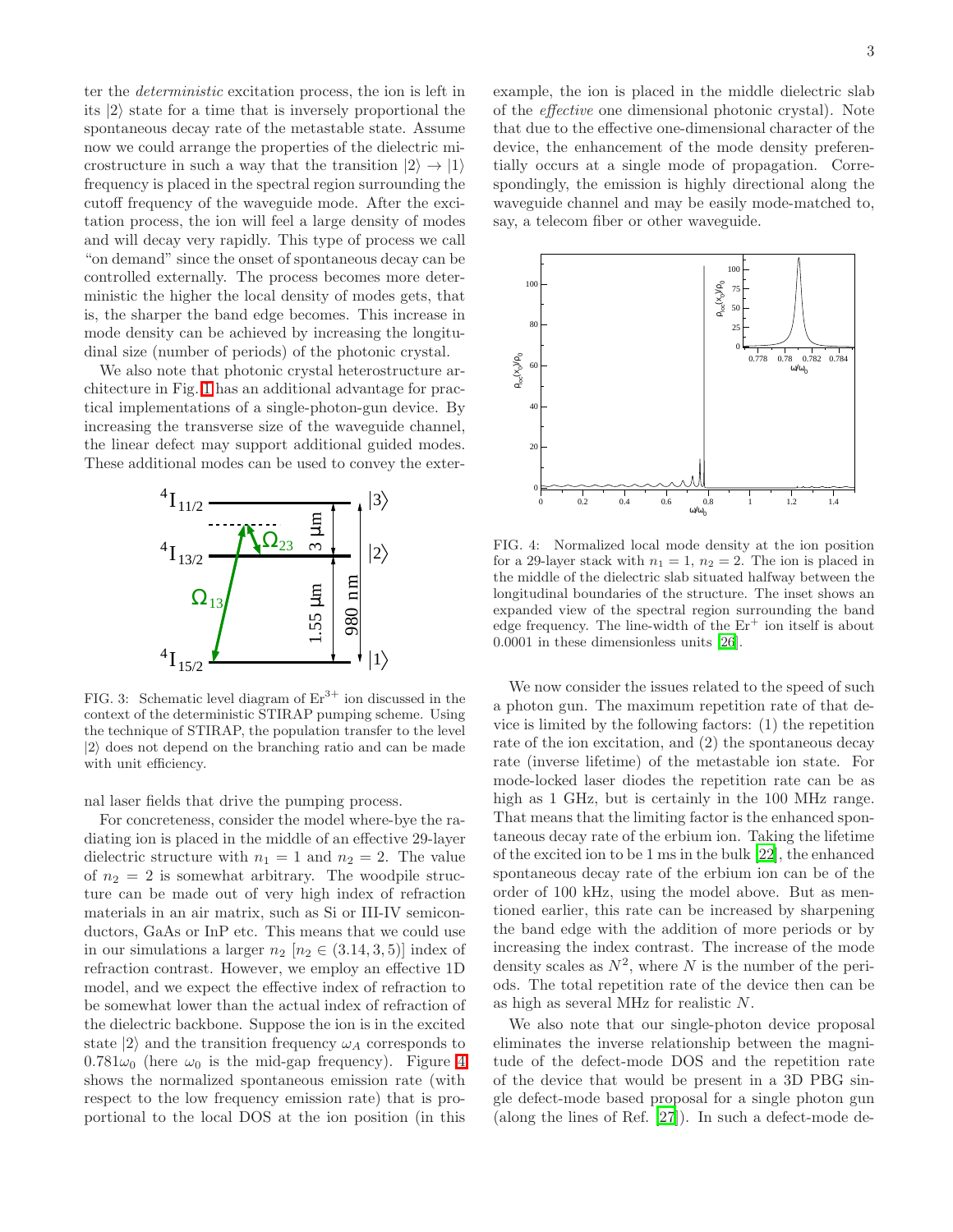ter the deterministic excitation process, the ion is left in its  $|2\rangle$  state for a time that is inversely proportional the spontaneous decay rate of the metastable state. Assume now we could arrange the properties of the dielectric microstructure in such a way that the transition  $|2\rangle \rightarrow |1\rangle$ frequency is placed in the spectral region surrounding the cutoff frequency of the waveguide mode. After the excitation process, the ion will feel a large density of modes and will decay very rapidly. This type of process we call "on demand" since the onset of spontaneous decay can be controlled externally. The process becomes more deterministic the higher the local density of modes gets, that is, the sharper the band edge becomes. This increase in mode density can be achieved by increasing the longitudinal size (number of periods) of the photonic crystal.

We also note that photonic crystal heterostructure architecture in Fig. [1](#page-3-0) has an additional advantage for practical implementations of a single-photon-gun device. By increasing the transverse size of the waveguide channel, the linear defect may support additional guided modes. These additional modes can be used to convey the exter-



<span id="page-4-0"></span>FIG. 3: Schematic level diagram of  $Er^{3+}$  ion discussed in the context of the deterministic STIRAP pumping scheme. Using the technique of STIRAP, the population transfer to the level  $|2\rangle$  does not depend on the branching ratio and can be made with unit efficiency.

nal laser fields that drive the pumping process.

For concreteness, consider the model where-bye the radiating ion is placed in the middle of an effective 29-layer dielectric structure with  $n_1 = 1$  and  $n_2 = 2$ . The value of  $n_2 = 2$  is somewhat arbitrary. The woodpile structure can be made out of very high index of refraction materials in an air matrix, such as Si or III-IV semiconductors, GaAs or InP etc. This means that we could use in our simulations a larger  $n_2$  [ $n_2 \in (3.14, 3, 5)$ ] index of refraction contrast. However, we employ an effective 1D model, and we expect the effective index of refraction to be somewhat lower than the actual index of refraction of the dielectric backbone. Suppose the ion is in the excited state  $|2\rangle$  and the transition frequency  $\omega_A$  corresponds to  $0.781\omega_0$  (here  $\omega_0$  is the mid-gap frequency). Figure [4](#page-4-1) shows the normalized spontaneous emission rate (with respect to the low frequency emission rate) that is proportional to the local DOS at the ion position (in this

example, the ion is placed in the middle dielectric slab of the effective one dimensional photonic crystal). Note that due to the effective one-dimensional character of the device, the enhancement of the mode density preferentially occurs at a single mode of propagation. Correspondingly, the emission is highly directional along the waveguide channel and may be easily mode-matched to, say, a telecom fiber or other waveguide.



<span id="page-4-1"></span>FIG. 4: Normalized local mode density at the ion position for a 29-layer stack with  $n_1 = 1$ ,  $n_2 = 2$ . The ion is placed in the middle of the dielectric slab situated halfway between the longitudinal boundaries of the structure. The inset shows an expanded view of the spectral region surrounding the band edge frequency. The line-width of the  $Er^+$  ion itself is about 0.0001 in these dimensionless units [\[26](#page-5-26)].

We now consider the issues related to the speed of such a photon gun. The maximum repetition rate of that device is limited by the following factors: (1) the repetition rate of the ion excitation, and (2) the spontaneous decay rate (inverse lifetime) of the metastable ion state. For mode-locked laser diodes the repetition rate can be as high as 1 GHz, but is certainly in the 100 MHz range. That means that the limiting factor is the enhanced spontaneous decay rate of the erbium ion. Taking the lifetime of the excited ion to be 1 ms in the bulk [\[22\]](#page-5-22), the enhanced spontaneous decay rate of the erbium ion can be of the order of 100 kHz, using the model above. But as mentioned earlier, this rate can be increased by sharpening the band edge with the addition of more periods or by increasing the index contrast. The increase of the mode density scales as  $N^2$ , where N is the number of the periods. The total repetition rate of the device then can be as high as several MHz for realistic N.

We also note that our single-photon device proposal eliminates the inverse relationship between the magnitude of the defect-mode DOS and the repetition rate of the device that would be present in a 3D PBG single defect-mode based proposal for a single photon gun (along the lines of Ref. [\[27\]](#page-5-27)). In such a defect-mode de